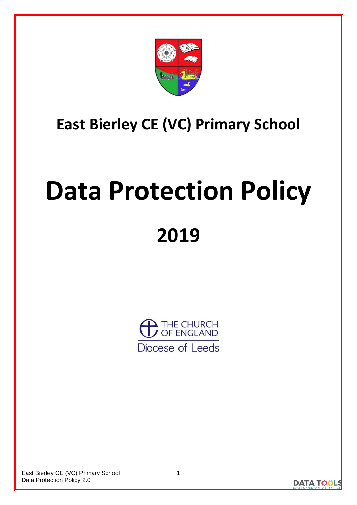

## **East Bierley CE (VC) Primary School**

# **Data Protection Policy 2019**



East Bierley CE (VC) Primary School Data Protection Policy 2.0

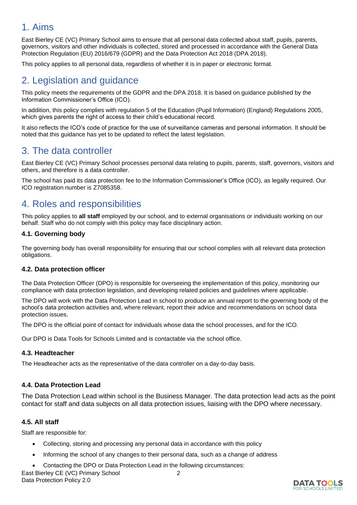## 1. Aims

East Bierley CE (VC) Primary School aims to ensure that all personal data collected about staff, pupils, parents, governors, visitors and other individuals is collected, stored and processed in accordance with the General Data Protection Regulation (EU) 2016/679 (GDPR) and the Data Protection Act 2018 (DPA 2018).

This policy applies to all personal data, regardless of whether it is in paper or electronic format.

## 2. Legislation and guidance

This policy meets the requirements of the GDPR and the DPA 2018. It is based on guidance published by the Information Commissioner's Office (ICO).

In addition, this policy complies with regulation 5 of the Education (Pupil Information) (England) Regulations 2005, which gives parents the right of access to their child's educational record.

It also reflects the ICO's code of practice for the use of surveillance cameras and personal information. It should be noted that this guidance has yet to be updated to reflect the latest legislation.

## 3. The data controller

East Bierley CE (VC) Primary School processes personal data relating to pupils, parents, staff, governors, visitors and others, and therefore is a data controller.

The school has paid its data protection fee to the Information Commissioner's Office (ICO), as legally required. Our ICO registration number is Z7085358.

## 4. Roles and responsibilities

This policy applies to **all staff** employed by our school, and to external organisations or individuals working on our behalf. Staff who do not comply with this policy may face disciplinary action.

#### **4.1. Governing body**

The governing body has overall responsibility for ensuring that our school complies with all relevant data protection obligations.

#### **4.2. Data protection officer**

The Data Protection Officer (DPO) is responsible for overseeing the implementation of this policy, monitoring our compliance with data protection legislation, and developing related policies and guidelines where applicable.

The DPO will work with the Data Protection Lead in school to produce an annual report to the governing body of the school's data protection activities and, where relevant, report their advice and recommendations on school data protection issues.

The DPO is the official point of contact for individuals whose data the school processes, and for the ICO.

Our DPO is Data Tools for Schools Limited and is contactable via the school office.

#### **4.3. Headteacher**

The Headteacher acts as the representative of the data controller on a day-to-day basis.

#### **4.4. Data Protection Lead**

The Data Protection Lead within school is the Business Manager. The data protection lead acts as the point contact for staff and data subjects on all data protection issues, liaising with the DPO where necessary.

#### **4.5. All staff**

Staff are responsible for:

- Collecting, storing and processing any personal data in accordance with this policy
- Informing the school of any changes to their personal data, such as a change of address
- Contacting the DPO or Data Protection Lead in the following circumstances:

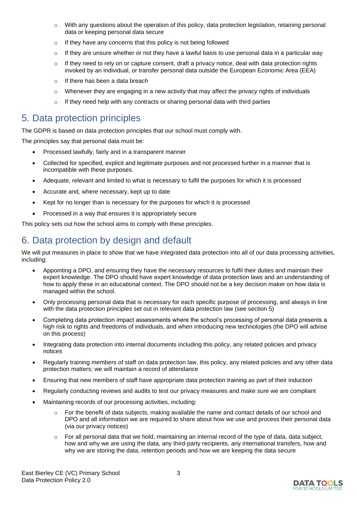- $\circ$  With any questions about the operation of this policy, data protection legislation, retaining personal data or keeping personal data secure
- o If they have any concerns that this policy is not being followed
- $\circ$  If they are unsure whether or not they have a lawful basis to use personal data in a particular way
- $\circ$  If they need to rely on or capture consent, draft a privacy notice, deal with data protection rights invoked by an individual, or transfer personal data outside the European Economic Area (EEA)
- o If there has been a data breach
- $\circ$  Whenever they are engaging in a new activity that may affect the privacy rights of individuals
- o If they need help with any contracts or sharing personal data with third parties

## 5. Data protection principles

The GDPR is based on data protection principles that our school must comply with.

The principles say that personal data must be:

- Processed lawfully, fairly and in a transparent manner
- Collected for specified, explicit and legitimate purposes and not processed further in a manner that is incompatible with these purposes.
- Adequate, relevant and limited to what is necessary to fulfil the purposes for which it is processed
- Accurate and, where necessary, kept up to date
- Kept for no longer than is necessary for the purposes for which it is processed
- Processed in a way that ensures it is appropriately secure

This policy sets out how the school aims to comply with these principles.

## 6. Data protection by design and default

We will put measures in place to show that we have integrated data protection into all of our data processing activities, including:

- Appointing a DPO, and ensuring they have the necessary resources to fulfil their duties and maintain their expert knowledge. The DPO should have expert knowledge of data protection laws and an understanding of how to apply these in an educational context. The DPO should not be a key decision maker on how data is managed within the school.
- Only processing personal data that is necessary for each specific purpose of processing, and always in line with the data protection principles set out in relevant data protection law (see section 5)
- Completing data protection impact assessments where the school's processing of personal data presents a high risk to rights and freedoms of individuals, and when introducing new technologies (the DPO will advise on this process)
- Integrating data protection into internal documents including this policy, any related policies and privacy notices
- Regularly training members of staff on data protection law, this policy, any related policies and any other data protection matters; we will maintain a record of attendance
- Ensuring that new members of staff have appropriate data protection training as part of their induction
- Regularly conducting reviews and audits to test our privacy measures and make sure we are compliant
- Maintaining records of our processing activities, including:
	- For the benefit of data subjects, making available the name and contact details of our school and DPO and all information we are required to share about how we use and process their personal data (via our privacy notices)
	- $\circ$  For all personal data that we hold, maintaining an internal record of the type of data, data subject, how and why we are using the data, any third-party recipients, any international transfers, how and why we are storing the data, retention periods and how we are keeping the data secure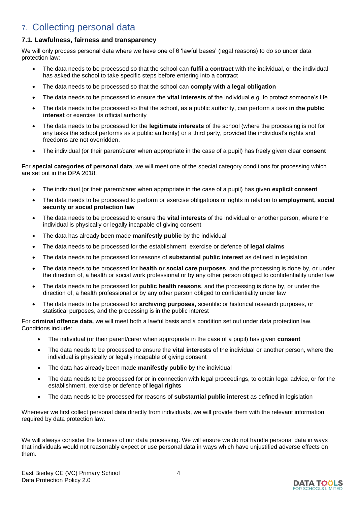## 7. Collecting personal data

#### **7.1. Lawfulness, fairness and transparency**

We will only process personal data where we have one of 6 'lawful bases' (legal reasons) to do so under data protection law:

- The data needs to be processed so that the school can **fulfil a contract** with the individual, or the individual has asked the school to take specific steps before entering into a contract
- The data needs to be processed so that the school can **comply with a legal obligation**
- The data needs to be processed to ensure the **vital interests** of the individual e.g. to protect someone's life
- The data needs to be processed so that the school, as a public authority, can perform a task **in the public interest** or exercise its official authority
- The data needs to be processed for the **legitimate interests** of the school (where the processing is not for any tasks the school performs as a public authority) or a third party, provided the individual's rights and freedoms are not overridden.
- The individual (or their parent/carer when appropriate in the case of a pupil) has freely given clear **consent**

For **special categories of personal data**, we will meet one of the special category conditions for processing which are set out in the DPA 2018.

- The individual (or their parent/carer when appropriate in the case of a pupil) has given **explicit consent**
- The data needs to be processed to perform or exercise obligations or rights in relation to **employment, social security or social protection law**
- The data needs to be processed to ensure the **vital interests** of the individual or another person, where the individual is physically or legally incapable of giving consent
- The data has already been made **manifestly public** by the individual
- The data needs to be processed for the establishment, exercise or defence of **legal claims**
- The data needs to be processed for reasons of **substantial public interest** as defined in legislation
- The data needs to be processed for **health or social care purposes**, and the processing is done by, or under the direction of, a health or social work professional or by any other person obliged to confidentiality under law
- The data needs to be processed for **public health reasons**, and the processing is done by, or under the direction of, a health professional or by any other person obliged to confidentiality under law
- The data needs to be processed for **archiving purposes**, scientific or historical research purposes, or statistical purposes, and the processing is in the public interest

For **criminal offence data,** we will meet both a lawful basis and a condition set out under data protection law. Conditions include:

- The individual (or their parent/carer when appropriate in the case of a pupil) has given **consent**
- The data needs to be processed to ensure the **vital interests** of the individual or another person, where the individual is physically or legally incapable of giving consent
- The data has already been made **manifestly public** by the individual
- The data needs to be processed for or in connection with legal proceedings, to obtain legal advice, or for the establishment, exercise or defence of **legal rights**
- The data needs to be processed for reasons of **substantial public interest** as defined in legislation

Whenever we first collect personal data directly from individuals, we will provide them with the relevant information required by data protection law.

We will always consider the fairness of our data processing. We will ensure we do not handle personal data in ways that individuals would not reasonably expect or use personal data in ways which have unjustified adverse effects on them.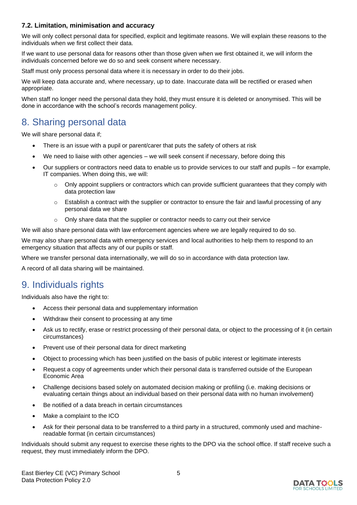#### **7.2. Limitation, minimisation and accuracy**

We will only collect personal data for specified, explicit and legitimate reasons. We will explain these reasons to the individuals when we first collect their data.

If we want to use personal data for reasons other than those given when we first obtained it, we will inform the individuals concerned before we do so and seek consent where necessary.

Staff must only process personal data where it is necessary in order to do their jobs.

We will keep data accurate and, where necessary, up to date. Inaccurate data will be rectified or erased when appropriate.

When staff no longer need the personal data they hold, they must ensure it is deleted or anonymised. This will be done in accordance with the school's records management policy.

## 8. Sharing personal data

We will share personal data if;

- There is an issue with a pupil or parent/carer that puts the safety of others at risk
- We need to liaise with other agencies we will seek consent if necessary, before doing this
- Our suppliers or contractors need data to enable us to provide services to our staff and pupils for example, IT companies. When doing this, we will:
	- $\circ$  Only appoint suppliers or contractors which can provide sufficient guarantees that they comply with data protection law
	- $\circ$  Establish a contract with the supplier or contractor to ensure the fair and lawful processing of any personal data we share
	- o Only share data that the supplier or contractor needs to carry out their service

We will also share personal data with law enforcement agencies where we are legally required to do so.

We may also share personal data with emergency services and local authorities to help them to respond to an emergency situation that affects any of our pupils or staff.

Where we transfer personal data internationally, we will do so in accordance with data protection law.

A record of all data sharing will be maintained.

## 9. Individuals rights

Individuals also have the right to:

- Access their personal data and supplementary information
- Withdraw their consent to processing at any time
- Ask us to rectify, erase or restrict processing of their personal data, or object to the processing of it (in certain circumstances)
- Prevent use of their personal data for direct marketing
- Object to processing which has been justified on the basis of public interest or legitimate interests
- Request a copy of agreements under which their personal data is transferred outside of the European Economic Area
- Challenge decisions based solely on automated decision making or profiling (i.e. making decisions or evaluating certain things about an individual based on their personal data with no human involvement)
- Be notified of a data breach in certain circumstances
- Make a complaint to the ICO
- Ask for their personal data to be transferred to a third party in a structured, commonly used and machinereadable format (in certain circumstances)

Individuals should submit any request to exercise these rights to the DPO via the school office. If staff receive such a request, they must immediately inform the DPO.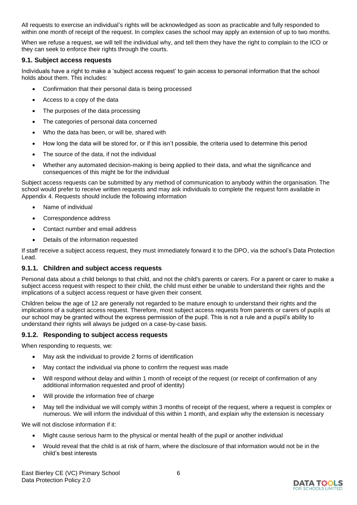All requests to exercise an individual's rights will be acknowledged as soon as practicable and fully responded to within one month of receipt of the request. In complex cases the school may apply an extension of up to two months.

When we refuse a request, we will tell the individual why, and tell them they have the right to complain to the ICO or they can seek to enforce their rights through the courts.

#### **9.1. Subject access requests**

Individuals have a right to make a 'subject access request' to gain access to personal information that the school holds about them. This includes:

- Confirmation that their personal data is being processed
- Access to a copy of the data
- The purposes of the data processing
- The categories of personal data concerned
- Who the data has been, or will be, shared with
- How long the data will be stored for, or if this isn't possible, the criteria used to determine this period
- The source of the data, if not the individual
- Whether any automated decision-making is being applied to their data, and what the significance and consequences of this might be for the individual

Subject access requests can be submitted by any method of communication to anybody within the organisation. The school would prefer to receive written requests and may ask individuals to complete the request form available in Appendix 4. Requests should include the following information

- Name of individual
- Correspondence address
- Contact number and email address
- Details of the information requested

If staff receive a subject access request, they must immediately forward it to the DPO, via the school's Data Protection Lead.

#### **9.1.1. Children and subject access requests**

Personal data about a child belongs to that child, and not the child's parents or carers. For a parent or carer to make a subject access request with respect to their child, the child must either be unable to understand their rights and the implications of a subject access request or have given their consent.

Children below the age of 12 are generally not regarded to be mature enough to understand their rights and the implications of a subject access request. Therefore, most subject access requests from parents or carers of pupils at our school may be granted without the express permission of the pupil. This is not a rule and a pupil's ability to understand their rights will always be judged on a case-by-case basis.

#### **9.1.2. Responding to subject access requests**

When responding to requests, we:

- May ask the individual to provide 2 forms of identification
- May contact the individual via phone to confirm the request was made
- Will respond without delay and within 1 month of receipt of the request (or receipt of confirmation of any additional information requested and proof of identity)
- Will provide the information free of charge
- May tell the individual we will comply within 3 months of receipt of the request, where a request is complex or numerous. We will inform the individual of this within 1 month, and explain why the extension is necessary

We will not disclose information if it:

- Might cause serious harm to the physical or mental health of the pupil or another individual
- Would reveal that the child is at risk of harm, where the disclosure of that information would not be in the child's best interests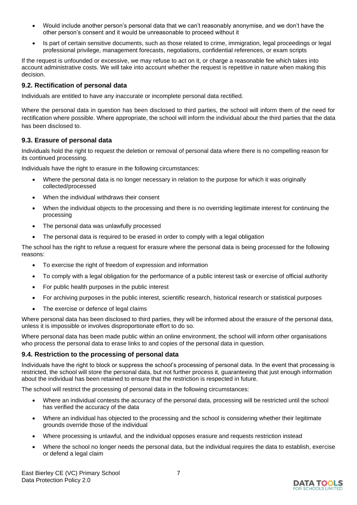- Would include another person's personal data that we can't reasonably anonymise, and we don't have the other person's consent and it would be unreasonable to proceed without it
- Is part of certain sensitive documents, such as those related to crime, immigration, legal proceedings or legal professional privilege, management forecasts, negotiations, confidential references, or exam scripts

If the request is unfounded or excessive, we may refuse to act on it, or charge a reasonable fee which takes into account administrative costs. We will take into account whether the request is repetitive in nature when making this decision.

#### **9.2. Rectification of personal data**

Individuals are entitled to have any inaccurate or incomplete personal data rectified.

Where the personal data in question has been disclosed to third parties, the school will inform them of the need for rectification where possible. Where appropriate, the school will inform the individual about the third parties that the data has been disclosed to.

#### **9.3. Erasure of personal data**

Individuals hold the right to request the deletion or removal of personal data where there is no compelling reason for its continued processing.

Individuals have the right to erasure in the following circumstances:

- Where the personal data is no longer necessary in relation to the purpose for which it was originally collected/processed
- When the individual withdraws their consent
- When the individual objects to the processing and there is no overriding legitimate interest for continuing the processing
- The personal data was unlawfully processed
- The personal data is required to be erased in order to comply with a legal obligation

The school has the right to refuse a request for erasure where the personal data is being processed for the following reasons:

- To exercise the right of freedom of expression and information
- To comply with a legal obligation for the performance of a public interest task or exercise of official authority
- For public health purposes in the public interest
- For archiving purposes in the public interest, scientific research, historical research or statistical purposes
- The exercise or defence of legal claims

Where personal data has been disclosed to third parties, they will be informed about the erasure of the personal data, unless it is impossible or involves disproportionate effort to do so.

Where personal data has been made public within an online environment, the school will inform other organisations who process the personal data to erase links to and copies of the personal data in question.

#### **9.4. Restriction to the processing of personal data**

Individuals have the right to block or suppress the school's processing of personal data. In the event that processing is restricted, the school will store the personal data, but not further process it, guaranteeing that just enough information about the individual has been retained to ensure that the restriction is respected in future.

The school will restrict the processing of personal data in the following circumstances:

- Where an individual contests the accuracy of the personal data, processing will be restricted until the school has verified the accuracy of the data
- Where an individual has objected to the processing and the school is considering whether their legitimate grounds override those of the individual
- Where processing is unlawful, and the individual opposes erasure and requests restriction instead
- Where the school no longer needs the personal data, but the individual requires the data to establish, exercise or defend a legal claim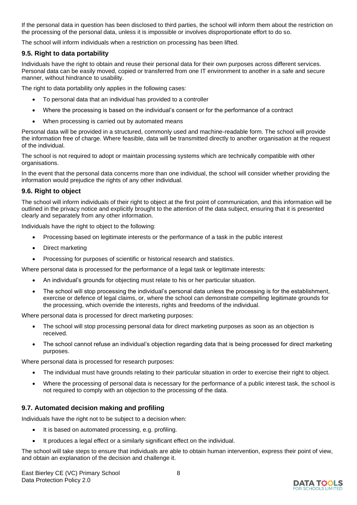If the personal data in question has been disclosed to third parties, the school will inform them about the restriction on the processing of the personal data, unless it is impossible or involves disproportionate effort to do so.

The school will inform individuals when a restriction on processing has been lifted.

#### **9.5. Right to data portability**

Individuals have the right to obtain and reuse their personal data for their own purposes across different services. Personal data can be easily moved, copied or transferred from one IT environment to another in a safe and secure manner, without hindrance to usability.

The right to data portability only applies in the following cases:

- To personal data that an individual has provided to a controller
- Where the processing is based on the individual's consent or for the performance of a contract
- When processing is carried out by automated means

Personal data will be provided in a structured, commonly used and machine-readable form. The school will provide the information free of charge. Where feasible, data will be transmitted directly to another organisation at the request of the individual.

The school is not required to adopt or maintain processing systems which are technically compatible with other organisations.

In the event that the personal data concerns more than one individual, the school will consider whether providing the information would prejudice the rights of any other individual.

#### **9.6. Right to object**

The school will inform individuals of their right to object at the first point of communication, and this information will be outlined in the privacy notice and explicitly brought to the attention of the data subject, ensuring that it is presented clearly and separately from any other information.

Individuals have the right to object to the following:

- Processing based on legitimate interests or the performance of a task in the public interest
- Direct marketing
- Processing for purposes of scientific or historical research and statistics.

Where personal data is processed for the performance of a legal task or legitimate interests:

- An individual's grounds for objecting must relate to his or her particular situation.
- The school will stop processing the individual's personal data unless the processing is for the establishment, exercise or defence of legal claims, or, where the school can demonstrate compelling legitimate grounds for the processing, which override the interests, rights and freedoms of the individual.

Where personal data is processed for direct marketing purposes:

- The school will stop processing personal data for direct marketing purposes as soon as an objection is received.
- The school cannot refuse an individual's objection regarding data that is being processed for direct marketing purposes.

Where personal data is processed for research purposes:

- The individual must have grounds relating to their particular situation in order to exercise their right to object.
- Where the processing of personal data is necessary for the performance of a public interest task, the school is not required to comply with an objection to the processing of the data.

#### **9.7. Automated decision making and profiling**

Individuals have the right not to be subject to a decision when:

- It is based on automated processing, e.g. profiling.
- It produces a legal effect or a similarly significant effect on the individual.

The school will take steps to ensure that individuals are able to obtain human intervention, express their point of view, and obtain an explanation of the decision and challenge it.

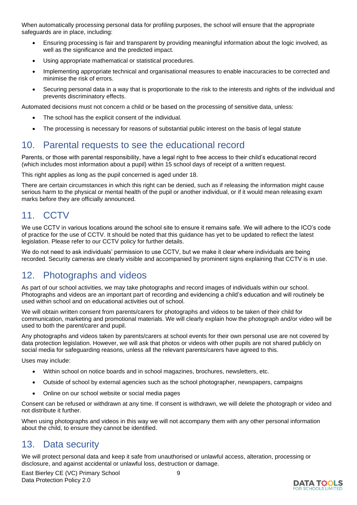When automatically processing personal data for profiling purposes, the school will ensure that the appropriate safeguards are in place, including:

- Ensuring processing is fair and transparent by providing meaningful information about the logic involved, as well as the significance and the predicted impact.
- Using appropriate mathematical or statistical procedures.
- Implementing appropriate technical and organisational measures to enable inaccuracies to be corrected and minimise the risk of errors.
- Securing personal data in a way that is proportionate to the risk to the interests and rights of the individual and prevents discriminatory effects.

Automated decisions must not concern a child or be based on the processing of sensitive data, unless:

- The school has the explicit consent of the individual.
- The processing is necessary for reasons of substantial public interest on the basis of legal statute

## 10. Parental requests to see the educational record

Parents, or those with parental responsibility, have a legal right to free access to their child's educational record (which includes most information about a pupil) within 15 school days of receipt of a written request.

This right applies as long as the pupil concerned is aged under 18.

There are certain circumstances in which this right can be denied, such as if releasing the information might cause serious harm to the physical or mental health of the pupil or another individual, or if it would mean releasing exam marks before they are officially announced.

## 11. CCTV

We use CCTV in various locations around the school site to ensure it remains safe. We will adhere to the ICO's code of practice for the use of CCTV. It should be noted that this guidance has yet to be updated to reflect the latest legislation. Please refer to our CCTV policy for further details.

We do not need to ask individuals' permission to use CCTV, but we make it clear where individuals are being recorded. Security cameras are clearly visible and accompanied by prominent signs explaining that CCTV is in use.

### 12. Photographs and videos

As part of our school activities, we may take photographs and record images of individuals within our school. Photographs and videos are an important part of recording and evidencing a child's education and will routinely be used within school and on educational activities out of school.

We will obtain written consent from parents/carers for photographs and videos to be taken of their child for communication, marketing and promotional materials. We will clearly explain how the photograph and/or video will be used to both the parent/carer and pupil.

Any photographs and videos taken by parents/carers at school events for their own personal use are not covered by data protection legislation. However, we will ask that photos or videos with other pupils are not shared publicly on social media for safeguarding reasons, unless all the relevant parents/carers have agreed to this.

Uses may include:

- Within school on notice boards and in school magazines, brochures, newsletters, etc.
- Outside of school by external agencies such as the school photographer, newspapers, campaigns
- Online on our school website or social media pages

Consent can be refused or withdrawn at any time. If consent is withdrawn, we will delete the photograph or video and not distribute it further.

When using photographs and videos in this way we will not accompany them with any other personal information about the child, to ensure they cannot be identified.

## 13. Data security

We will protect personal data and keep it safe from unauthorised or unlawful access, alteration, processing or disclosure, and against accidental or unlawful loss, destruction or damage.

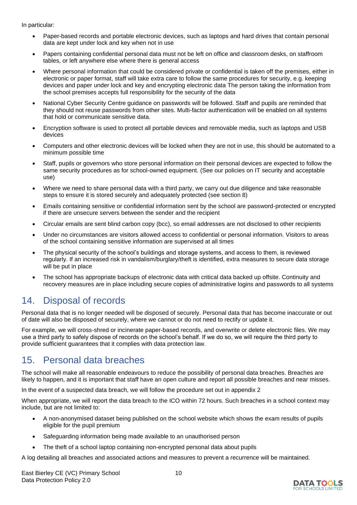In particular:

- Paper-based records and portable electronic devices, such as laptops and hard drives that contain personal data are kept under lock and key when not in use
- Papers containing confidential personal data must not be left on office and classroom desks, on staffroom tables, or left anywhere else where there is general access
- Where personal information that could be considered private or confidential is taken off the premises, either in electronic or paper format, staff will take extra care to follow the same procedures for security, e.g. keeping devices and paper under lock and key and encrypting electronic data The person taking the information from the school premises accepts full responsibility for the security of the data
- National Cyber Security Centre guidance on passwords will be followed. Staff and pupils are reminded that they should not reuse passwords from other sites. Multi-factor authentication will be enabled on all systems that hold or communicate sensitive data.
- Encryption software is used to protect all portable devices and removable media, such as laptops and USB devices
- Computers and other electronic devices will be locked when they are not in use, this should be automated to a minimum possible time
- Staff, pupils or governors who store personal information on their personal devices are expected to follow the same security procedures as for school-owned equipment. (See our policies on IT security and acceptable use)
- Where we need to share personal data with a third party, we carry out due diligence and take reasonable steps to ensure it is stored securely and adequately protected (see section 8)
- Emails containing sensitive or confidential information sent by the school are password-protected or encrypted if there are unsecure servers between the sender and the recipient
- Circular emails are sent blind carbon copy (bcc), so email addresses are not disclosed to other recipients
- Under no circumstances are visitors allowed access to confidential or personal information. Visitors to areas of the school containing sensitive information are supervised at all times
- The physical security of the school's buildings and storage systems, and access to them, is reviewed regularly. If an increased risk in vandalism/burglary/theft is identified, extra measures to secure data storage will be put in place
- The school has appropriate backups of electronic data with critical data backed up offsite. Continuity and recovery measures are in place including secure copies of administrative logins and passwords to all systems

## 14. Disposal of records

Personal data that is no longer needed will be disposed of securely. Personal data that has become inaccurate or out of date will also be disposed of securely, where we cannot or do not need to rectify or update it.

For example, we will cross-shred or incinerate paper-based records, and overwrite or delete electronic files. We may use a third party to safely dispose of records on the school's behalf. If we do so, we will require the third party to provide sufficient guarantees that it complies with data protection law.

## 15. Personal data breaches

The school will make all reasonable endeavours to reduce the possibility of personal data breaches. Breaches are likely to happen, and it is important that staff have an open culture and report all possible breaches and near misses.

In the event of a suspected data breach, we will follow the procedure set out in appendix 2

When appropriate, we will report the data breach to the ICO within 72 hours. Such breaches in a school context may include, but are not limited to:

- A non-anonymised dataset being published on the school website which shows the exam results of pupils eligible for the pupil premium
- Safeguarding information being made available to an unauthorised person
- The theft of a school laptop containing non-encrypted personal data about pupils

A log detailing all breaches and associated actions and measures to prevent a recurrence will be maintained.

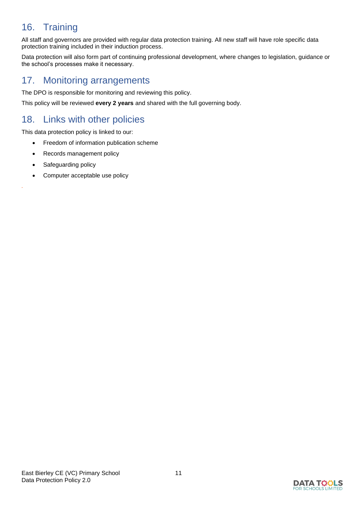## 16. Training

All staff and governors are provided with regular data protection training. All new staff will have role specific data protection training included in their induction process.

Data protection will also form part of continuing professional development, where changes to legislation, guidance or the school's processes make it necessary.

## 17. Monitoring arrangements

The DPO is responsible for monitoring and reviewing this policy.

This policy will be reviewed **every 2 years** and shared with the full governing body.

## 18. Links with other policies

This data protection policy is linked to our:

- Freedom of information publication scheme
- Records management policy
- Safeguarding policy

*.*

Computer acceptable use policy

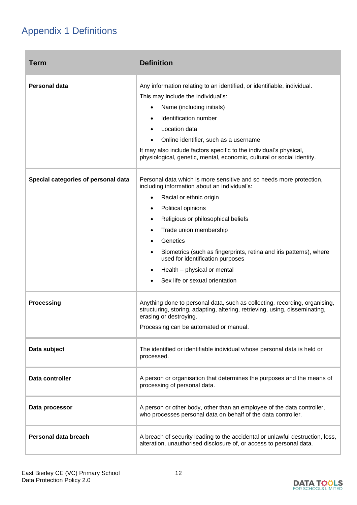## Appendix 1 Definitions

| <b>Term</b>                         | <b>Definition</b>                                                                                                                                                                                                                                                                                                                                                                                                           |
|-------------------------------------|-----------------------------------------------------------------------------------------------------------------------------------------------------------------------------------------------------------------------------------------------------------------------------------------------------------------------------------------------------------------------------------------------------------------------------|
| <b>Personal data</b>                | Any information relating to an identified, or identifiable, individual.<br>This may include the individual's:<br>Name (including initials)<br>Identification number<br>Location data<br>Online identifier, such as a username<br>It may also include factors specific to the individual's physical,<br>physiological, genetic, mental, economic, cultural or social identity.                                               |
| Special categories of personal data | Personal data which is more sensitive and so needs more protection,<br>including information about an individual's:<br>Racial or ethnic origin<br>Political opinions<br>Religious or philosophical beliefs<br>Trade union membership<br>Genetics<br>Biometrics (such as fingerprints, retina and iris patterns), where<br>used for identification purposes<br>Health - physical or mental<br>Sex life or sexual orientation |
| <b>Processing</b>                   | Anything done to personal data, such as collecting, recording, organising,<br>structuring, storing, adapting, altering, retrieving, using, disseminating,<br>erasing or destroying.<br>Processing can be automated or manual.                                                                                                                                                                                               |
| Data subject                        | The identified or identifiable individual whose personal data is held or<br>processed.                                                                                                                                                                                                                                                                                                                                      |
| Data controller                     | A person or organisation that determines the purposes and the means of<br>processing of personal data.                                                                                                                                                                                                                                                                                                                      |
| Data processor                      | A person or other body, other than an employee of the data controller,<br>who processes personal data on behalf of the data controller.                                                                                                                                                                                                                                                                                     |
| Personal data breach                | A breach of security leading to the accidental or unlawful destruction, loss,<br>alteration, unauthorised disclosure of, or access to personal data.                                                                                                                                                                                                                                                                        |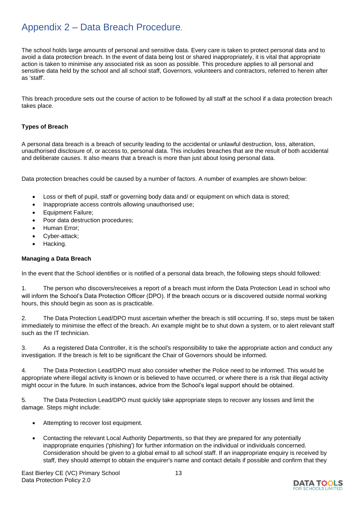## Appendix 2 – Data Breach Procedure.

The school holds large amounts of personal and sensitive data. Every care is taken to protect personal data and to avoid a data protection breach. In the event of data being lost or shared inappropriately, it is vital that appropriate action is taken to minimise any associated risk as soon as possible. This procedure applies to all personal and sensitive data held by the school and all school staff, Governors, volunteers and contractors, referred to herein after as 'staff'.

This breach procedure sets out the course of action to be followed by all staff at the school if a data protection breach takes place.

#### **Types of Breach**

A personal data breach is a breach of security leading to the accidental or unlawful destruction, loss, alteration, unauthorised disclosure of, or access to, personal data. This includes breaches that are the result of both accidental and deliberate causes. It also means that a breach is more than just about losing personal data.

Data protection breaches could be caused by a number of factors. A number of examples are shown below:

- Loss or theft of pupil, staff or governing body data and/ or equipment on which data is stored;
- Inappropriate access controls allowing unauthorised use;
- Equipment Failure;
- Poor data destruction procedures;
- Human Error;
- Cyber-attack;
- Hacking.

#### **Managing a Data Breach**

In the event that the School identifies or is notified of a personal data breach, the following steps should followed:

1. The person who discovers/receives a report of a breach must inform the Data Protection Lead in school who will inform the School's Data Protection Officer (DPO). If the breach occurs or is discovered outside normal working hours, this should begin as soon as is practicable.

2. The Data Protection Lead/DPO must ascertain whether the breach is still occurring. If so, steps must be taken immediately to minimise the effect of the breach. An example might be to shut down a system, or to alert relevant staff such as the IT technician.

3. As a registered Data Controller, it is the school's responsibility to take the appropriate action and conduct any investigation. If the breach is felt to be significant the Chair of Governors should be informed.

4. The Data Protection Lead/DPO must also consider whether the Police need to be informed. This would be appropriate where illegal activity is known or is believed to have occurred, or where there is a risk that illegal activity might occur in the future. In such instances, advice from the School's legal support should be obtained.

5. The Data Protection Lead/DPO must quickly take appropriate steps to recover any losses and limit the damage. Steps might include:

- Attempting to recover lost equipment.
- Contacting the relevant Local Authority Departments, so that they are prepared for any potentially inappropriate enquiries ('phishing') for further information on the individual or individuals concerned. Consideration should be given to a global email to all school staff. If an inappropriate enquiry is received by staff, they should attempt to obtain the enquirer's name and contact details if possible and confirm that they

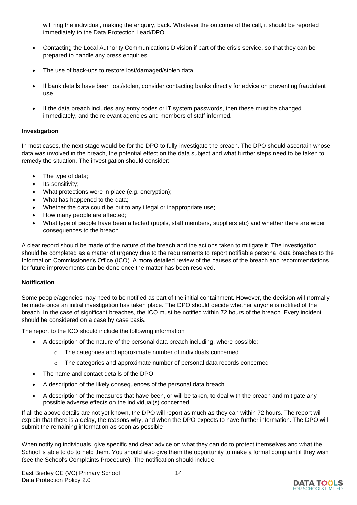will ring the individual, making the enquiry, back. Whatever the outcome of the call, it should be reported immediately to the Data Protection Lead/DPO

- Contacting the Local Authority Communications Division if part of the crisis service, so that they can be prepared to handle any press enquiries.
- The use of back-ups to restore lost/damaged/stolen data.
- If bank details have been lost/stolen, consider contacting banks directly for advice on preventing fraudulent use.
- If the data breach includes any entry codes or IT system passwords, then these must be changed immediately, and the relevant agencies and members of staff informed.

#### **Investigation**

In most cases, the next stage would be for the DPO to fully investigate the breach. The DPO should ascertain whose data was involved in the breach, the potential effect on the data subject and what further steps need to be taken to remedy the situation. The investigation should consider:

- The type of data;
- Its sensitivity;
- What protections were in place (e.g. encryption);
- What has happened to the data;
- Whether the data could be put to any illegal or inappropriate use;
- How many people are affected;
- What type of people have been affected (pupils, staff members, suppliers etc) and whether there are wider consequences to the breach.

A clear record should be made of the nature of the breach and the actions taken to mitigate it. The investigation should be completed as a matter of urgency due to the requirements to report notifiable personal data breaches to the Information Commissioner's Office (ICO). A more detailed review of the causes of the breach and recommendations for future improvements can be done once the matter has been resolved.

#### **Notification**

Some people/agencies may need to be notified as part of the initial containment. However, the decision will normally be made once an initial investigation has taken place. The DPO should decide whether anyone is notified of the breach. In the case of significant breaches, the ICO must be notified within 72 hours of the breach. Every incident should be considered on a case by case basis.

The report to the ICO should include the following information

- A description of the nature of the personal data breach including, where possible:
	- o The categories and approximate number of individuals concerned
	- $\circ$  The categories and approximate number of personal data records concerned
- The name and contact details of the DPO
- A description of the likely consequences of the personal data breach
- A description of the measures that have been, or will be taken, to deal with the breach and mitigate any possible adverse effects on the individual(s) concerned

If all the above details are not yet known, the DPO will report as much as they can within 72 hours. The report will explain that there is a delay, the reasons why, and when the DPO expects to have further information. The DPO will submit the remaining information as soon as possible

When notifying individuals, give specific and clear advice on what they can do to protect themselves and what the School is able to do to help them. You should also give them the opportunity to make a formal complaint if they wish (see the School's Complaints Procedure). The notification should include

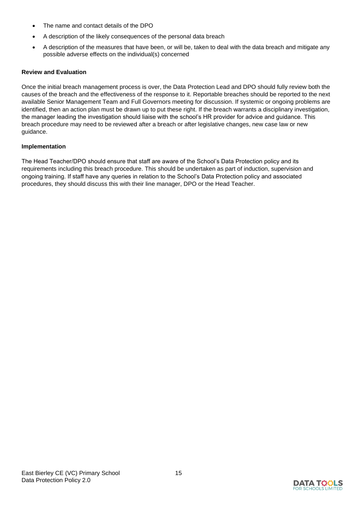- The name and contact details of the DPO
- A description of the likely consequences of the personal data breach
- A description of the measures that have been, or will be, taken to deal with the data breach and mitigate any possible adverse effects on the individual(s) concerned

#### **Review and Evaluation**

Once the initial breach management process is over, the Data Protection Lead and DPO should fully review both the causes of the breach and the effectiveness of the response to it. Reportable breaches should be reported to the next available Senior Management Team and Full Governors meeting for discussion. If systemic or ongoing problems are identified, then an action plan must be drawn up to put these right. If the breach warrants a disciplinary investigation, the manager leading the investigation should liaise with the school's HR provider for advice and guidance. This breach procedure may need to be reviewed after a breach or after legislative changes, new case law or new guidance.

#### **Implementation**

The Head Teacher/DPO should ensure that staff are aware of the School's Data Protection policy and its requirements including this breach procedure. This should be undertaken as part of induction, supervision and ongoing training. If staff have any queries in relation to the School's Data Protection policy and associated procedures, they should discuss this with their line manager, DPO or the Head Teacher.

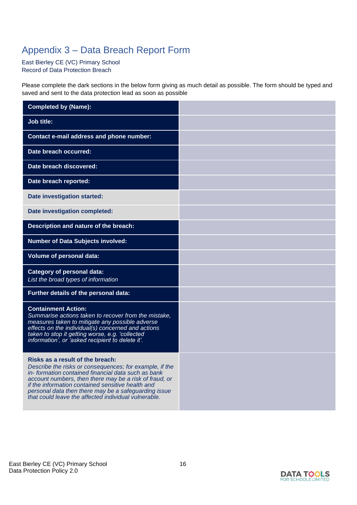## Appendix 3 – Data Breach Report Form

East Bierley CE (VC) Primary School Record of Data Protection Breach

Please complete the dark sections in the below form giving as much detail as possible. The form should be typed and saved and sent to the data protection lead as soon as possible

| <b>Completed by (Name):</b>                                                                                                                                                                                                                                                                                                                                                      |  |
|----------------------------------------------------------------------------------------------------------------------------------------------------------------------------------------------------------------------------------------------------------------------------------------------------------------------------------------------------------------------------------|--|
| <b>Job title:</b>                                                                                                                                                                                                                                                                                                                                                                |  |
| Contact e-mail address and phone number:                                                                                                                                                                                                                                                                                                                                         |  |
| Date breach occurred:                                                                                                                                                                                                                                                                                                                                                            |  |
| Date breach discovered:                                                                                                                                                                                                                                                                                                                                                          |  |
| Date breach reported:                                                                                                                                                                                                                                                                                                                                                            |  |
| Date investigation started:                                                                                                                                                                                                                                                                                                                                                      |  |
| Date investigation completed:                                                                                                                                                                                                                                                                                                                                                    |  |
| Description and nature of the breach:                                                                                                                                                                                                                                                                                                                                            |  |
| <b>Number of Data Subjects involved:</b>                                                                                                                                                                                                                                                                                                                                         |  |
| <b>Volume of personal data:</b>                                                                                                                                                                                                                                                                                                                                                  |  |
| <b>Category of personal data:</b><br>List the broad types of information                                                                                                                                                                                                                                                                                                         |  |
| Further details of the personal data:                                                                                                                                                                                                                                                                                                                                            |  |
| <b>Containment Action:</b><br>Summarise actions taken to recover from the mistake,<br>measures taken to mitigate any possible adverse<br>effects on the individual(s) concerned and actions<br>taken to stop it getting worse, e.g. 'collected<br>information', or 'asked recipient to delete it'.                                                                               |  |
| Risks as a result of the breach:<br>Describe the risks or consequences; for example, if the<br>in-formation contained financial data such as bank<br>account numbers, then there may be a risk of fraud, or<br>if the information contained sensitive health and<br>personal data then there may be a safeguarding issue<br>that could leave the affected individual vulnerable. |  |

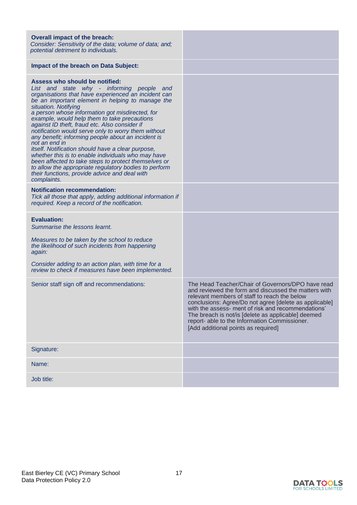| <b>Overall impact of the breach:</b><br>Consider: Sensitivity of the data; volume of data; and;<br>potential detriment to individuals.                                                                                                                                                                                                                                                                                                                                                                                                                                                                                                                                                                                                                                                                                              |                                                                                                                                                                                                                                                                                                                                                                                                                         |
|-------------------------------------------------------------------------------------------------------------------------------------------------------------------------------------------------------------------------------------------------------------------------------------------------------------------------------------------------------------------------------------------------------------------------------------------------------------------------------------------------------------------------------------------------------------------------------------------------------------------------------------------------------------------------------------------------------------------------------------------------------------------------------------------------------------------------------------|-------------------------------------------------------------------------------------------------------------------------------------------------------------------------------------------------------------------------------------------------------------------------------------------------------------------------------------------------------------------------------------------------------------------------|
| <b>Impact of the breach on Data Subject:</b>                                                                                                                                                                                                                                                                                                                                                                                                                                                                                                                                                                                                                                                                                                                                                                                        |                                                                                                                                                                                                                                                                                                                                                                                                                         |
| Assess who should be notified:<br>List and state why - informing people and<br>organisations that have experienced an incident can<br>be an important element in helping to manage the<br>situation. Notifying<br>a person whose information got misdirected, for<br>example, would help them to take precautions<br>against ID theft, fraud etc. Also consider if<br>notification would serve only to worry them without<br>any benefit; informing people about an incident is<br>not an end in<br>itself. Notification should have a clear purpose,<br>whether this is to enable individuals who may have<br>been affected to take steps to protect themselves or<br>to allow the appropriate regulatory bodies to perform<br>their functions, provide advice and deal with<br>complaints.<br><b>Notification recommendation:</b> |                                                                                                                                                                                                                                                                                                                                                                                                                         |
| Tick all those that apply, adding additional information if<br>required. Keep a record of the notification.                                                                                                                                                                                                                                                                                                                                                                                                                                                                                                                                                                                                                                                                                                                         |                                                                                                                                                                                                                                                                                                                                                                                                                         |
| <b>Evaluation:</b><br>Summarise the lessons learnt.<br>Measures to be taken by the school to reduce<br>the likelihood of such incidents from happening<br>again:<br>Consider adding to an action plan, with time for a<br>review to check if measures have been implemented.                                                                                                                                                                                                                                                                                                                                                                                                                                                                                                                                                        |                                                                                                                                                                                                                                                                                                                                                                                                                         |
| Senior staff sign off and recommendations:                                                                                                                                                                                                                                                                                                                                                                                                                                                                                                                                                                                                                                                                                                                                                                                          | The Head Teacher/Chair of Governors/DPO have read<br>and reviewed the form and discussed the matters with<br>relevant members of staff to reach the below<br>conclusions: Agree/Do not agree [delete as applicable]<br>with the assess- ment of risk and recommendations'<br>The breach is not/is [delete as applicable] deemed<br>report- able to the Information Commissioner.<br>[Add additional points as required] |
| Signature:                                                                                                                                                                                                                                                                                                                                                                                                                                                                                                                                                                                                                                                                                                                                                                                                                          |                                                                                                                                                                                                                                                                                                                                                                                                                         |
| Name:                                                                                                                                                                                                                                                                                                                                                                                                                                                                                                                                                                                                                                                                                                                                                                                                                               |                                                                                                                                                                                                                                                                                                                                                                                                                         |
| Job title:                                                                                                                                                                                                                                                                                                                                                                                                                                                                                                                                                                                                                                                                                                                                                                                                                          |                                                                                                                                                                                                                                                                                                                                                                                                                         |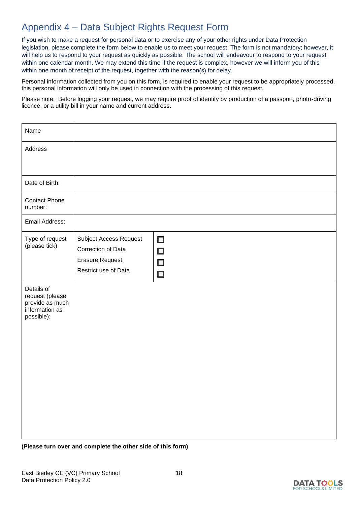## Appendix 4 – Data Subject Rights Request Form

If you wish to make a request for personal data or to exercise any of your other rights under Data Protection legislation, please complete the form below to enable us to meet your request. The form is not mandatory; however, it will help us to respond to your request as quickly as possible. The school will endeavour to respond to your request within one calendar month. We may extend this time if the request is complex, however we will inform you of this within one month of receipt of the request, together with the reason(s) for delay.

Personal information collected from you on this form, is required to enable your request to be appropriately processed, this personal information will only be used in connection with the processing of this request.

Please note: Before logging your request, we may require proof of identity by production of a passport, photo-driving licence, or a utility bill in your name and current address.

| Name                                                                             |                                                                                                       |                                      |
|----------------------------------------------------------------------------------|-------------------------------------------------------------------------------------------------------|--------------------------------------|
| Address                                                                          |                                                                                                       |                                      |
| Date of Birth:                                                                   |                                                                                                       |                                      |
| <b>Contact Phone</b><br>number:                                                  |                                                                                                       |                                      |
| Email Address:                                                                   |                                                                                                       |                                      |
| Type of request<br>(please tick)                                                 | <b>Subject Access Request</b><br>Correction of Data<br><b>Erasure Request</b><br>Restrict use of Data | $\Box$<br>$\Box$<br>$\Box$<br>$\Box$ |
| Details of<br>request (please<br>provide as much<br>information as<br>possible): |                                                                                                       |                                      |

**(Please turn over and complete the other side of this form)**